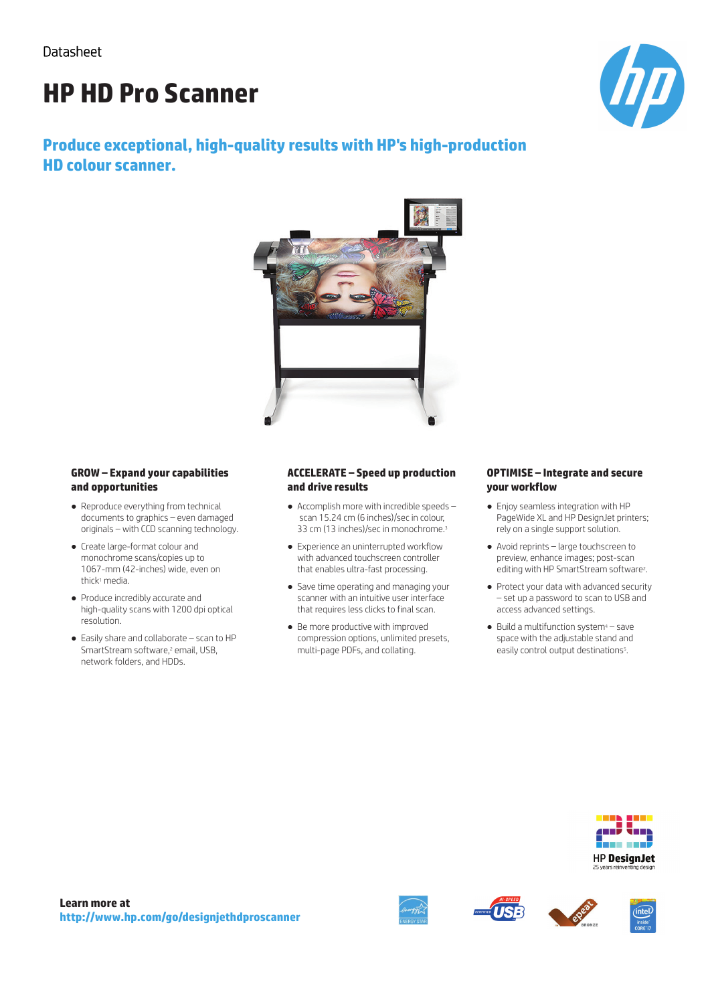# **HP HD Pro Scanner**



# **Produce exceptional, high-quality results with HP's high-production HD colour scanner.**



#### **GROW – Expand your capabilities and opportunities**

- Reproduce everything from technical documents to graphics – even damaged originals – with CCD scanning technology.
- Create large-format colour and monochrome scans/copies up to 1067-mm (42-inches) wide, even on thick<sup>1</sup> media.
- Produce incredibly accurate and high-quality scans with 1200 dpi optical resolution.
- Easily share and collaborate scan to HP SmartStream software,<sup>2</sup> email, USB, network folders, and HDDs.

#### **ACCELERATE – Speed up production and drive results**

- Accomplish more with incredible speeds scan 15.24 cm (6 inches)/sec in colour, 33 cm (13 inches)/sec in monochrome.<sup>3</sup>
- Experience an uninterrupted workflow with advanced touchscreen controller that enables ultra-fast processing.
- Save time operating and managing your scanner with an intuitive user interface that requires less clicks to final scan.
- Be more productive with improved compression options, unlimited presets, multi-page PDFs, and collating.

#### **OPTIMISE – Integrate and secure your workflow**

- Enjoy seamless integration with HP PageWide XL and HP DesignJet printers; rely on a single support solution.
- Avoid reprints large touchscreen to preview, enhance images; post-scan editing with HP SmartStream software<sup>2</sup>.
- Protect your data with advanced security – set up a password to scan to USB and access advanced settings.
- $\bullet$  Build a multifunction system<sup>4</sup> save space with the adjustable stand and easily control output destinations<sup>5</sup>.